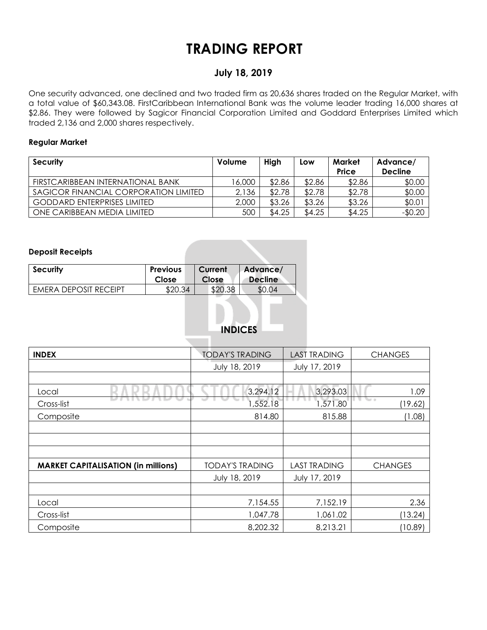## **TRADING REPORT**

### **July 18, 2019**

One security advanced, one declined and two traded firm as 20,636 shares traded on the Regular Market, with a total value of \$60,343.08. FirstCaribbean International Bank was the volume leader trading 16,000 shares at \$2.86. They were followed by Sagicor Financial Corporation Limited and Goddard Enterprises Limited which traded 2,136 and 2,000 shares respectively.

#### **Regular Market**

| <b>Security</b>                       | Volume | High   | Low    | Market<br>Price | Advance/<br><b>Decline</b> |
|---------------------------------------|--------|--------|--------|-----------------|----------------------------|
| FIRSTCARIBBEAN INTERNATIONAL BANK     | 16.000 | \$2.86 | \$2.86 | \$2.86          | \$0.00                     |
| SAGICOR FINANCIAL CORPORATION LIMITED | 2,136  | \$2.78 | \$2.78 | \$2.78          | \$0.00                     |
| <b>GODDARD ENTERPRISES LIMITED</b>    | 2,000  | \$3.26 | \$3.26 | \$3.26          | \$0.01                     |
| ONE CARIBBEAN MEDIA LIMITED           | 500    | \$4.25 | \$4.25 | \$4.25          | $-$0.20$                   |

#### **Deposit Receipts**

| <b>Security</b>       | <b>Previous</b> | Current | Advance/       |
|-----------------------|-----------------|---------|----------------|
|                       | Close           | Close   | <b>Decline</b> |
| EMERA DEPOSIT RECEIPT | ⊄າ∩<br>34       | \$20.38 |                |

### **INDICES**

| <b>INDEX</b>                               | <b>TODAY'S TRADING</b> | <b>LAST TRADING</b> | <b>CHANGES</b>    |  |  |  |
|--------------------------------------------|------------------------|---------------------|-------------------|--|--|--|
|                                            | July 18, 2019          | July 17, 2019       |                   |  |  |  |
|                                            |                        |                     |                   |  |  |  |
| Local                                      | 3,294.12               | 3,293.03            | 1.09              |  |  |  |
| Cross-list                                 | 552.18                 | 1,571.80            | The co<br>(19.62) |  |  |  |
| Composite                                  | 814.80                 | 815.88              | (1.08)            |  |  |  |
|                                            |                        |                     |                   |  |  |  |
|                                            |                        |                     |                   |  |  |  |
|                                            |                        |                     |                   |  |  |  |
| <b>MARKET CAPITALISATION (in millions)</b> | <b>TODAY'S TRADING</b> | <b>LAST TRADING</b> | <b>CHANGES</b>    |  |  |  |
|                                            | July 18, 2019          | July 17, 2019       |                   |  |  |  |
|                                            |                        |                     |                   |  |  |  |
| Local                                      | 7,154.55               | 7,152.19            | 2.36              |  |  |  |
| Cross-list                                 | 1,047.78               | 1,061.02            | (13.24)           |  |  |  |
| Composite                                  | 8,202.32               | 8,213.21            | (10.89)           |  |  |  |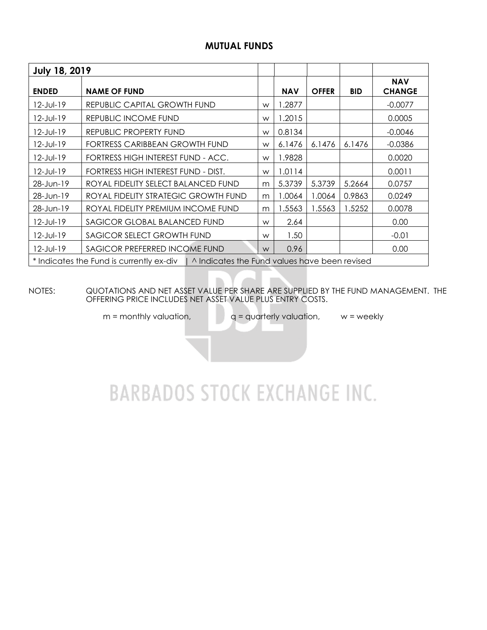### **MUTUAL FUNDS**

| <b>July 18, 2019</b>                                                                     |                                      |      |            |              |            |                             |  |  |  |
|------------------------------------------------------------------------------------------|--------------------------------------|------|------------|--------------|------------|-----------------------------|--|--|--|
| <b>ENDED</b>                                                                             | <b>NAME OF FUND</b>                  |      | <b>NAV</b> | <b>OFFER</b> | <b>BID</b> | <b>NAV</b><br><b>CHANGE</b> |  |  |  |
| $12$ -Jul-19                                                                             | REPUBLIC CAPITAL GROWTH FUND         | W    | 1.2877     |              |            | $-0.0077$                   |  |  |  |
| $12$ -Jul-19                                                                             | REPUBLIC INCOME FUND                 | W    | 1.2015     |              |            | 0.0005                      |  |  |  |
| $12$ -Jul-19                                                                             | REPUBLIC PROPERTY FUND               | W    | 0.8134     |              |            | $-0.0046$                   |  |  |  |
| $12$ -Jul-19                                                                             | FORTRESS CARIBBEAN GROWTH FUND       | W    | 6.1476     | 6.1476       | 6.1476     | $-0.0386$                   |  |  |  |
| 12-Jul-19                                                                                | FORTRESS HIGH INTEREST FUND - ACC.   | W    | 1.9828     |              |            | 0.0020                      |  |  |  |
| $12$ -Jul-19                                                                             | FORTRESS HIGH INTEREST FUND - DIST.  | W    | 1.0114     |              |            | 0.0011                      |  |  |  |
| 28-Jun-19                                                                                | ROYAL FIDELITY SELECT BALANCED FUND  | m    | 5.3739     | 5.3739       | 5.2664     | 0.0757                      |  |  |  |
| 28-Jun-19                                                                                | ROYAL FIDELITY STRATEGIC GROWTH FUND | m    | .0064      | 1.0064       | 0.9863     | 0.0249                      |  |  |  |
| 28-Jun-19                                                                                | ROYAL FIDELITY PREMIUM INCOME FUND   | m    | 1.5563     | 1.5563       | 1.5252     | 0.0078                      |  |  |  |
| 12-Jul-19                                                                                | SAGICOR GLOBAL BALANCED FUND         | W    | 2.64       |              |            | 0.00                        |  |  |  |
| 12-Jul-19                                                                                | SAGICOR SELECT GROWTH FUND           | W    | 1.50       |              |            | $-0.01$                     |  |  |  |
| $12$ -Jul-19                                                                             | W                                    | 0.96 |            |              | 0.00       |                             |  |  |  |
| * Indicates the Fund is currently ex-div   ^ Indicates the Fund values have been revised |                                      |      |            |              |            |                             |  |  |  |

NOTES: QUOTATIONS AND NET ASSET VALUE PER SHARE ARE SUPPLIED BY THE FUND MANAGEMENT. THE OFFERING PRICE INCLUDES NET ASSET VALUE PLUS ENTRY COSTS.

 $m =$  monthly valuation,  $q =$  quarterly valuation,  $w =$  weekly

# **BARBADOS STOCK EXCHANGE INC.**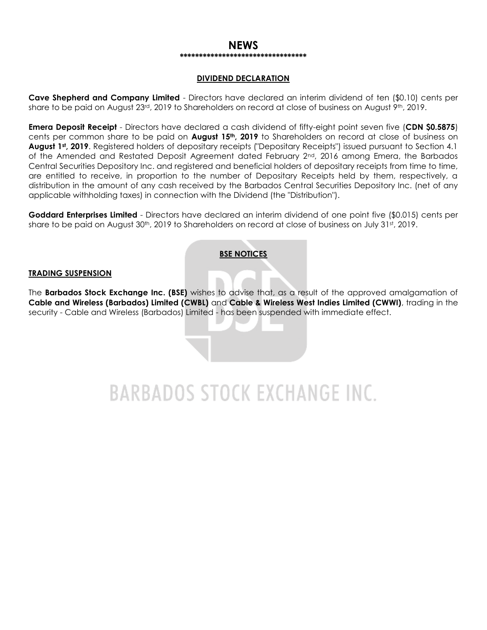#### **NEWS \*\*\*\*\*\*\*\*\*\*\*\*\*\*\*\*\*\*\*\*\*\*\*\*\*\*\*\*\*\*\*\*\***

#### **DIVIDEND DECLARATION**

**Cave Shepherd and Company Limited** - Directors have declared an interim dividend of ten (\$0.10) cents per share to be paid on August 23<sup>rd</sup>, 2019 to Shareholders on record at close of business on August 9<sup>th</sup>, 2019.

**Emera Deposit Receipt** - Directors have declared a cash dividend of fifty-eight point seven five (**CDN \$0.5875**) cents per common share to be paid on **August 15th, 2019** to Shareholders on record at close of business on **August 1st, 2019**. Registered holders of depositary receipts ("Depositary Receipts") issued pursuant to Section 4.1 of the Amended and Restated Deposit Agreement dated February 2<sup>nd</sup>, 2016 among Emera, the Barbados Central Securities Depository Inc. and registered and beneficial holders of depositary receipts from time to time, are entitled to receive, in proportion to the number of Depositary Receipts held by them, respectively, a distribution in the amount of any cash received by the Barbados Central Securities Depository Inc. (net of any applicable withholding taxes) in connection with the Dividend (the "Distribution").

**Goddard Enterprises Limited** - Directors have declared an interim dividend of one point five (\$0.015) cents per share to be paid on August 30<sup>th</sup>, 2019 to Shareholders on record at close of business on July 31st, 2019.

#### **BSE NOTICES**

#### **TRADING SUSPENSION**

The **Barbados Stock Exchange Inc. (BSE)** wishes to advise that, as a result of the approved amalgamation of **Cable and Wireless (Barbados) Limited (CWBL)** and **Cable & Wireless West Indies Limited (CWWI)**, trading in the security - Cable and Wireless (Barbados) Limited - has been suspended with immediate effect.

# **BARBADOS STOCK EXCHANGE INC.**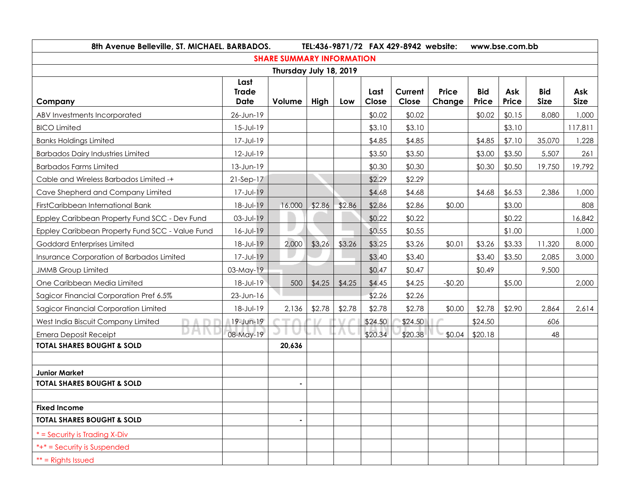| 8th Avenue Belleville, ST. MICHAEL. BARBADOS.   |                                     | TEL:436-9871/72 FAX 429-8942 website:<br>www.bse.com.bb |        |        |               |                  |                        |                     |              |                           |                    |
|-------------------------------------------------|-------------------------------------|---------------------------------------------------------|--------|--------|---------------|------------------|------------------------|---------------------|--------------|---------------------------|--------------------|
| <b>SHARE SUMMARY INFORMATION</b>                |                                     |                                                         |        |        |               |                  |                        |                     |              |                           |                    |
| Thursday July 18, 2019                          |                                     |                                                         |        |        |               |                  |                        |                     |              |                           |                    |
| Company                                         | Last<br><b>Trade</b><br><b>Date</b> | Volume                                                  | High   | Low    | Last<br>Close | Current<br>Close | <b>Price</b><br>Change | <b>Bid</b><br>Price | Ask<br>Price | <b>Bid</b><br><b>Size</b> | Ask<br><b>Size</b> |
| ABV Investments Incorporated                    | 26-Jun-19                           |                                                         |        |        | \$0.02        | \$0.02           |                        | \$0.02              | \$0.15       | 8,080                     | 1,000              |
| <b>BICO Limited</b>                             | $15 - Jul - 19$                     |                                                         |        |        | \$3.10        | \$3.10           |                        |                     | \$3.10       |                           | 117,811            |
| <b>Banks Holdings Limited</b>                   | 17-Jul-19                           |                                                         |        |        | \$4.85        | \$4.85           |                        | \$4.85              | \$7.10       | 35,070                    | 1,228              |
| <b>Barbados Dairy Industries Limited</b>        | 12-Jul-19                           |                                                         |        |        | \$3.50        | \$3.50           |                        | \$3.00              | \$3.50       | 5,507                     | 261                |
| <b>Barbados Farms Limited</b>                   | 13-Jun-19                           |                                                         |        |        | \$0.30        | \$0.30           |                        | \$0.30              | \$0.50       | 19,750                    | 19,792             |
| Cable and Wireless Barbados Limited -+          | $21-Sep-17$                         |                                                         |        |        | \$2.29        | \$2.29           |                        |                     |              |                           |                    |
| Cave Shepherd and Company Limited               | 17-Jul-19                           |                                                         |        |        | \$4.68        | \$4.68           |                        | \$4.68              | \$6.53       | 2,386                     | 1,000              |
| FirstCaribbean International Bank               | 18-Jul-19                           | 16,000                                                  | \$2.86 | \$2.86 | \$2.86        | \$2.86           | \$0.00                 |                     | \$3.00       |                           | 808                |
| Eppley Caribbean Property Fund SCC - Dev Fund   | 03-Jul-19                           |                                                         |        |        | \$0.22        | \$0.22           |                        |                     | \$0.22       |                           | 16,842             |
| Eppley Caribbean Property Fund SCC - Value Fund | $16 - JUI - 19$                     | $\bullet$                                               |        |        | \$0.55        | \$0.55           |                        |                     | \$1.00       |                           | 1,000              |
| Goddard Enterprises Limited                     | 18-Jul-19                           | 2,000                                                   | \$3.26 | \$3.26 | \$3.25        | \$3.26           | \$0.01                 | \$3.26              | \$3.33       | 11,320                    | 8,000              |
| Insurance Corporation of Barbados Limited       | 17-Jul-19                           |                                                         |        |        | \$3.40        | \$3.40           |                        | \$3.40              | \$3.50       | 2,085                     | 3,000              |
| <b>JMMB Group Limited</b>                       | 03-May-19                           |                                                         |        |        | \$0.47        | \$0.47           |                        | \$0.49              |              | 9,500                     |                    |
| One Caribbean Media Limited                     | 18-Jul-19                           | 500                                                     | \$4.25 | \$4.25 | \$4.45        | \$4.25           | $-$0.20$               |                     | \$5.00       |                           | 2,000              |
| Sagicor Financial Corporation Pref 6.5%         | 23-Jun-16                           |                                                         |        |        | \$2.26        | \$2.26           |                        |                     |              |                           |                    |
| <b>Sagicor Financial Corporation Limited</b>    | 18-Jul-19                           | 2,136                                                   | \$2.78 | \$2.78 | \$2.78        | \$2.78           | \$0.00                 | \$2.78              | \$2.90       | 2,864                     | 2,614              |
| West India Biscuit Company Limited              | $19 - Jun-19$                       |                                                         |        |        | \$24.50       | \$24.50          |                        | \$24.50             |              | 606                       |                    |
| DH<br><b>Emera Deposit Receipt</b>              | 08-May-19                           |                                                         |        |        | \$20.34       | \$20.38          | \$0.04                 | \$20.18             |              | 48                        |                    |
| <b>TOTAL SHARES BOUGHT &amp; SOLD</b>           |                                     | 20,636                                                  |        |        |               |                  |                        |                     |              |                           |                    |
|                                                 |                                     |                                                         |        |        |               |                  |                        |                     |              |                           |                    |
| <b>Junior Market</b>                            |                                     |                                                         |        |        |               |                  |                        |                     |              |                           |                    |
| <b>TOTAL SHARES BOUGHT &amp; SOLD</b>           |                                     |                                                         |        |        |               |                  |                        |                     |              |                           |                    |
| <b>Fixed Income</b>                             |                                     |                                                         |        |        |               |                  |                        |                     |              |                           |                    |
| <b>TOTAL SHARES BOUGHT &amp; SOLD</b>           |                                     | $\blacksquare$                                          |        |        |               |                  |                        |                     |              |                           |                    |
| * = Security is Trading X-Div                   |                                     |                                                         |        |        |               |                  |                        |                     |              |                           |                    |
| *+* = Security is Suspended                     |                                     |                                                         |        |        |               |                  |                        |                     |              |                           |                    |
| $**$ = Rights Issued                            |                                     |                                                         |        |        |               |                  |                        |                     |              |                           |                    |